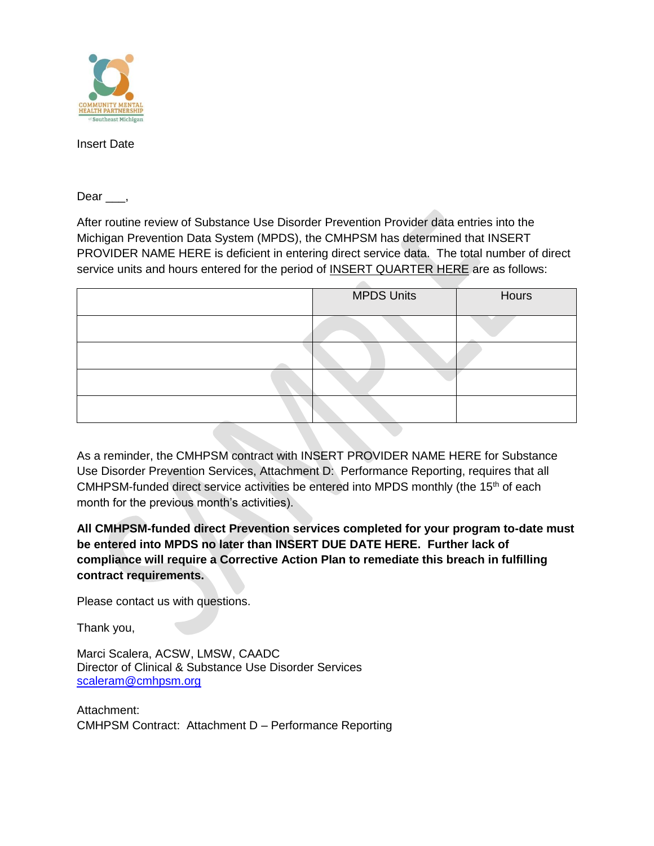

Insert Date

Dear,

After routine review of Substance Use Disorder Prevention Provider data entries into the Michigan Prevention Data System (MPDS), the CMHPSM has determined that INSERT PROVIDER NAME HERE is deficient in entering direct service data. The total number of direct service units and hours entered for the period of INSERT QUARTER HERE are as follows:

| <b>MPDS Units</b> | Hours |
|-------------------|-------|
|                   |       |
|                   |       |
|                   |       |
|                   |       |

As a reminder, the CMHPSM contract with INSERT PROVIDER NAME HERE for Substance Use Disorder Prevention Services, Attachment D: Performance Reporting, requires that all CMHPSM-funded direct service activities be entered into MPDS monthly (the 15<sup>th</sup> of each month for the previous month's activities).

**All CMHPSM-funded direct Prevention services completed for your program to-date must be entered into MPDS no later than INSERT DUE DATE HERE. Further lack of compliance will require a Corrective Action Plan to remediate this breach in fulfilling contract requirements.**

Please contact us with questions.

Thank you,

Marci Scalera, ACSW, LMSW, CAADC Director of Clinical & Substance Use Disorder Services [scaleram@cmhpsm.org](mailto:scaleram@cmhpsm.org)

Attachment: CMHPSM Contract: Attachment D – Performance Reporting